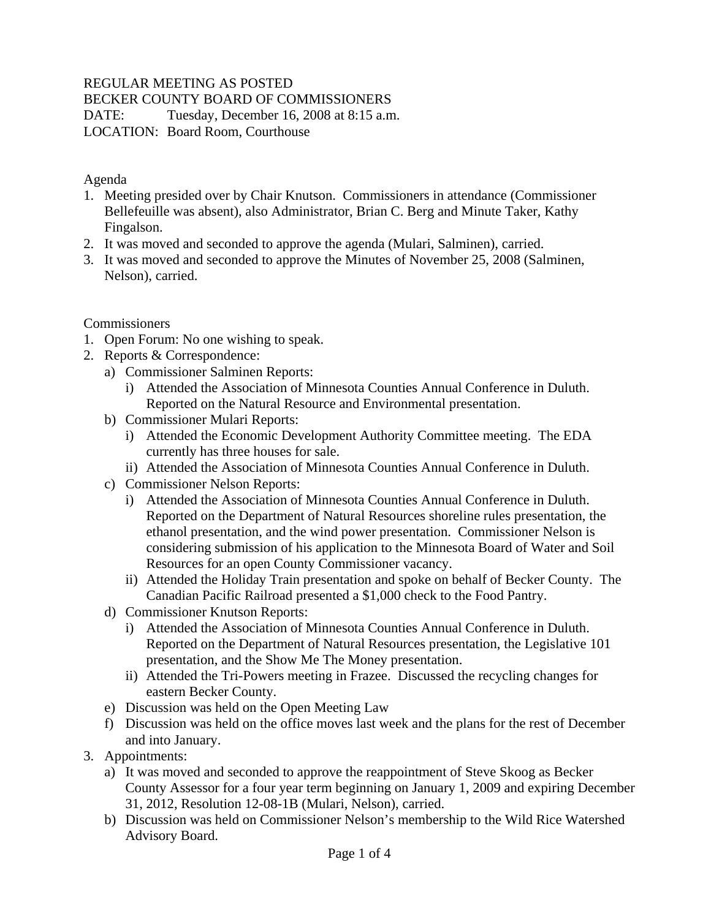## REGULAR MEETING AS POSTED

BECKER COUNTY BOARD OF COMMISSIONERS

DATE: Tuesday, December 16, 2008 at 8:15 a.m. LOCATION: Board Room, Courthouse

#### Agenda

- 1. Meeting presided over by Chair Knutson. Commissioners in attendance (Commissioner Bellefeuille was absent), also Administrator, Brian C. Berg and Minute Taker, Kathy Fingalson.
- 2. It was moved and seconded to approve the agenda (Mulari, Salminen), carried.
- 3. It was moved and seconded to approve the Minutes of November 25, 2008 (Salminen, Nelson), carried.

### **Commissioners**

- 1. Open Forum: No one wishing to speak.
- 2. Reports & Correspondence:
	- a) Commissioner Salminen Reports:
		- i) Attended the Association of Minnesota Counties Annual Conference in Duluth. Reported on the Natural Resource and Environmental presentation.
	- b) Commissioner Mulari Reports:
		- i) Attended the Economic Development Authority Committee meeting. The EDA currently has three houses for sale.
		- ii) Attended the Association of Minnesota Counties Annual Conference in Duluth.
	- c) Commissioner Nelson Reports:
		- i) Attended the Association of Minnesota Counties Annual Conference in Duluth. Reported on the Department of Natural Resources shoreline rules presentation, the ethanol presentation, and the wind power presentation. Commissioner Nelson is considering submission of his application to the Minnesota Board of Water and Soil Resources for an open County Commissioner vacancy.
		- ii) Attended the Holiday Train presentation and spoke on behalf of Becker County. The Canadian Pacific Railroad presented a \$1,000 check to the Food Pantry.
	- d) Commissioner Knutson Reports:
		- i) Attended the Association of Minnesota Counties Annual Conference in Duluth. Reported on the Department of Natural Resources presentation, the Legislative 101 presentation, and the Show Me The Money presentation.
		- ii) Attended the Tri-Powers meeting in Frazee. Discussed the recycling changes for eastern Becker County.
	- e) Discussion was held on the Open Meeting Law
	- f) Discussion was held on the office moves last week and the plans for the rest of December and into January.
- 3. Appointments:
	- a) It was moved and seconded to approve the reappointment of Steve Skoog as Becker County Assessor for a four year term beginning on January 1, 2009 and expiring December 31, 2012, Resolution 12-08-1B (Mulari, Nelson), carried.
	- b) Discussion was held on Commissioner Nelson's membership to the Wild Rice Watershed Advisory Board.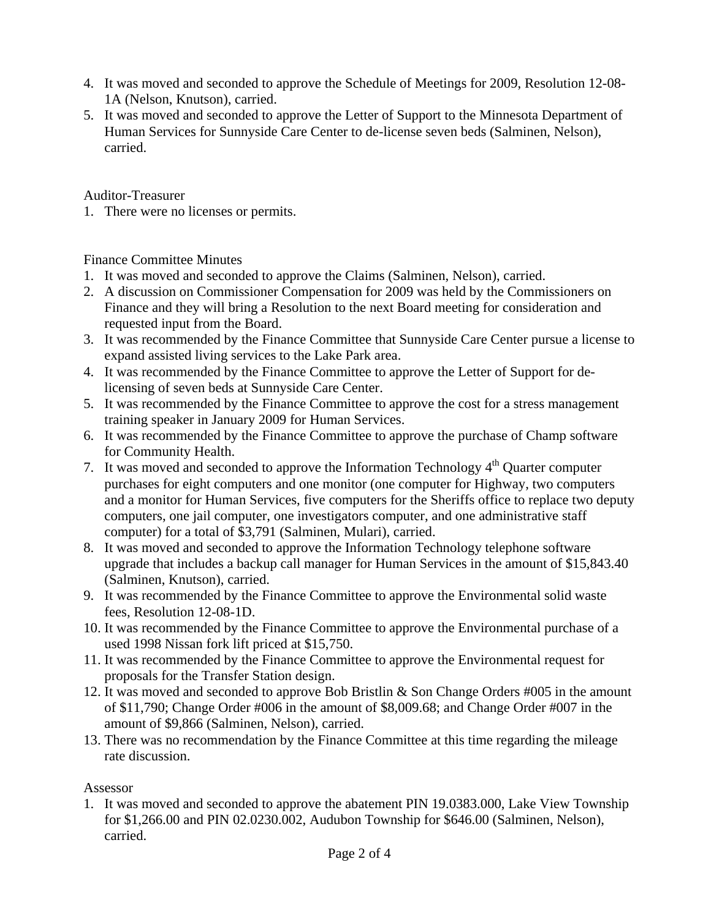- 4. It was moved and seconded to approve the Schedule of Meetings for 2009, Resolution 12-08- 1A (Nelson, Knutson), carried.
- 5. It was moved and seconded to approve the Letter of Support to the Minnesota Department of Human Services for Sunnyside Care Center to de-license seven beds (Salminen, Nelson), carried.

Auditor-Treasurer

1. There were no licenses or permits.

Finance Committee Minutes

- 1. It was moved and seconded to approve the Claims (Salminen, Nelson), carried.
- 2. A discussion on Commissioner Compensation for 2009 was held by the Commissioners on Finance and they will bring a Resolution to the next Board meeting for consideration and requested input from the Board.
- 3. It was recommended by the Finance Committee that Sunnyside Care Center pursue a license to expand assisted living services to the Lake Park area.
- 4. It was recommended by the Finance Committee to approve the Letter of Support for delicensing of seven beds at Sunnyside Care Center.
- 5. It was recommended by the Finance Committee to approve the cost for a stress management training speaker in January 2009 for Human Services.
- 6. It was recommended by the Finance Committee to approve the purchase of Champ software for Community Health.
- 7. It was moved and seconded to approve the Information Technology  $4<sup>th</sup>$  Quarter computer purchases for eight computers and one monitor (one computer for Highway, two computers and a monitor for Human Services, five computers for the Sheriffs office to replace two deputy computers, one jail computer, one investigators computer, and one administrative staff computer) for a total of \$3,791 (Salminen, Mulari), carried.
- 8. It was moved and seconded to approve the Information Technology telephone software upgrade that includes a backup call manager for Human Services in the amount of \$15,843.40 (Salminen, Knutson), carried.
- 9. It was recommended by the Finance Committee to approve the Environmental solid waste fees, Resolution 12-08-1D.
- 10. It was recommended by the Finance Committee to approve the Environmental purchase of a used 1998 Nissan fork lift priced at \$15,750.
- 11. It was recommended by the Finance Committee to approve the Environmental request for proposals for the Transfer Station design.
- 12. It was moved and seconded to approve Bob Bristlin & Son Change Orders #005 in the amount of \$11,790; Change Order #006 in the amount of \$8,009.68; and Change Order #007 in the amount of \$9,866 (Salminen, Nelson), carried.
- 13. There was no recommendation by the Finance Committee at this time regarding the mileage rate discussion.

Assessor

1. It was moved and seconded to approve the abatement PIN 19.0383.000, Lake View Township for \$1,266.00 and PIN 02.0230.002, Audubon Township for \$646.00 (Salminen, Nelson), carried.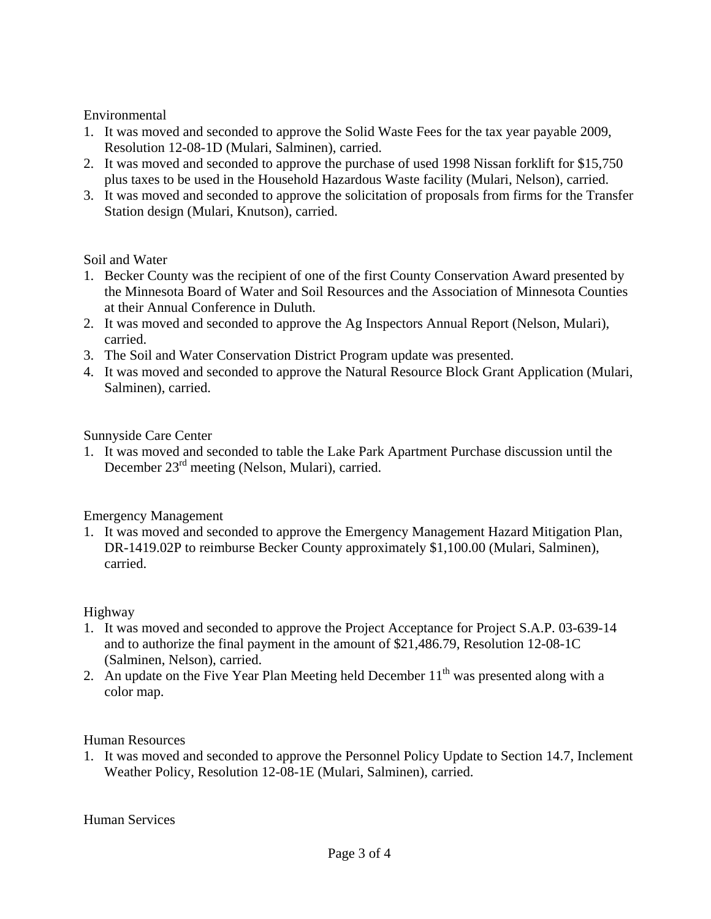Environmental

- 1. It was moved and seconded to approve the Solid Waste Fees for the tax year payable 2009, Resolution 12-08-1D (Mulari, Salminen), carried.
- 2. It was moved and seconded to approve the purchase of used 1998 Nissan forklift for \$15,750 plus taxes to be used in the Household Hazardous Waste facility (Mulari, Nelson), carried.
- 3. It was moved and seconded to approve the solicitation of proposals from firms for the Transfer Station design (Mulari, Knutson), carried.

Soil and Water

- 1. Becker County was the recipient of one of the first County Conservation Award presented by the Minnesota Board of Water and Soil Resources and the Association of Minnesota Counties at their Annual Conference in Duluth.
- 2. It was moved and seconded to approve the Ag Inspectors Annual Report (Nelson, Mulari), carried.
- 3. The Soil and Water Conservation District Program update was presented.
- 4. It was moved and seconded to approve the Natural Resource Block Grant Application (Mulari, Salminen), carried.

Sunnyside Care Center

1. It was moved and seconded to table the Lake Park Apartment Purchase discussion until the December 23rd meeting (Nelson, Mulari), carried.

Emergency Management

1. It was moved and seconded to approve the Emergency Management Hazard Mitigation Plan, DR-1419.02P to reimburse Becker County approximately \$1,100.00 (Mulari, Salminen), carried.

# Highway

- 1. It was moved and seconded to approve the Project Acceptance for Project S.A.P. 03-639-14 and to authorize the final payment in the amount of \$21,486.79, Resolution 12-08-1C (Salminen, Nelson), carried.
- 2. An update on the Five Year Plan Meeting held December  $11<sup>th</sup>$  was presented along with a color map.

# Human Resources

1. It was moved and seconded to approve the Personnel Policy Update to Section 14.7, Inclement Weather Policy, Resolution 12-08-1E (Mulari, Salminen), carried.

Human Services